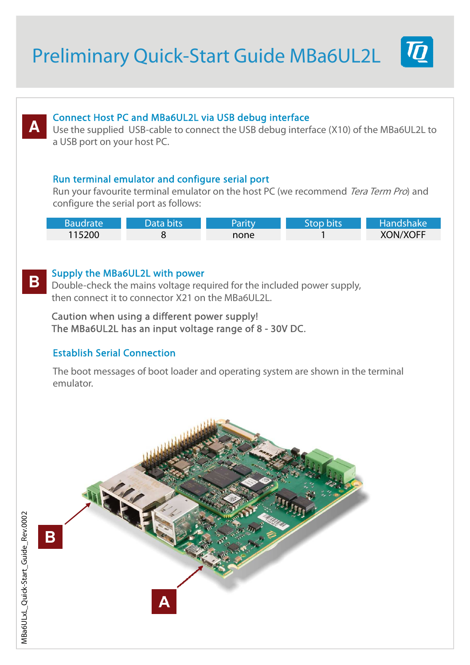# Preliminary Quick-Start Guide MBa6UL2L



## **A**

**B**

### Connect Host PC and MBa6UL2L via USB debug interface

Use the supplied USB-cable to connect the USB debug interface (X10) of the MBa6UL2L to a USB port on your host PC.

### Run terminal emulator and configure serial port

Run your favourite terminal emulator on the host PC (we recommend Tera Term Pro) and configure the serial port as follows:

| Baudrate | Data bits. | Parity | Stop bits | Handshake       |
|----------|------------|--------|-----------|-----------------|
| 115200   |            | none   |           | <b>XON/XOFF</b> |

### Supply the MBa6UL2L with power

Double-check the mains voltage required for the included power supply, then connect it to connector X21 on the MBa6UL2L.

Caution when using a different power supply! The MBa6UL2L has an input voltage range of 8 - 30V DC.

### Establish Serial Connection

The boot messages of boot loader and operating system are shown in the terminal emulator.



**B**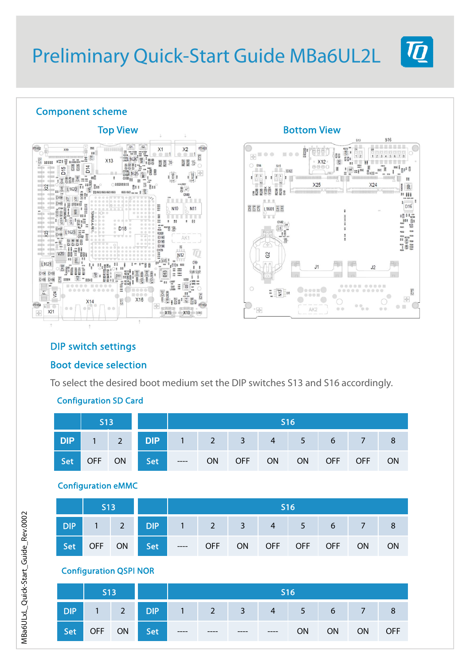### Component scheme





### DIP switch settings

### Boot device selection

To select the desired boot medium set the DIP switches S13 and S16 accordingly.

#### S13 **DIP** 1 1 2 Set OFF ON S16 **DIP** 1 2 3 4 5 6 7 8 Set ---- ON OFF ON ON OFF OFF ON

### Configuration SD Card

| <b>Configuration eMMC</b> |  |
|---------------------------|--|
|---------------------------|--|

| S13 |                                             | 5161 |  |  |  |  |  |  |
|-----|---------------------------------------------|------|--|--|--|--|--|--|
|     | DIP 1 2 DIP 1 2 3 4 5 6 7 8                 |      |  |  |  |  |  |  |
|     | Set OFF ON Set --- OFF ON OFF OFF OFF ON ON |      |  |  |  |  |  |  |

### Configuration QSPI NOR

|     | S13 |                             | <b>S16</b> |  |  |  |  |              |  |
|-----|-----|-----------------------------|------------|--|--|--|--|--------------|--|
|     |     | DIP 1 2 DIP 1 2 3 4 5 6 7 8 |            |  |  |  |  |              |  |
| Set |     | OFF ON Set ----             |            |  |  |  |  | ON ON ON OFF |  |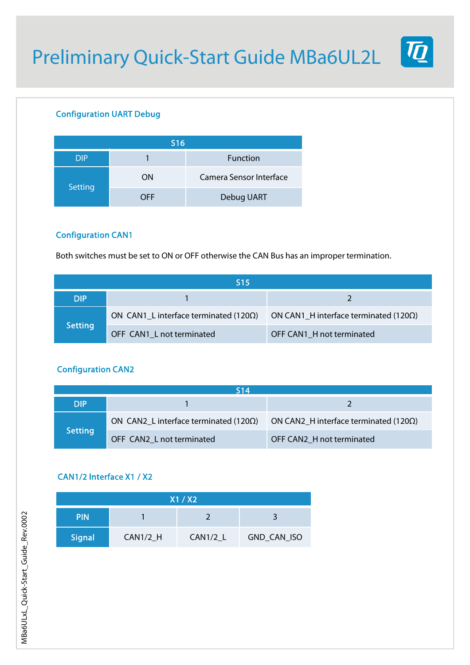

### Configuration UART Debug

| <b>S16</b> |     |                         |  |  |  |  |
|------------|-----|-------------------------|--|--|--|--|
| <b>DIP</b> |     | Function                |  |  |  |  |
| Setting    | ON  | Camera Sensor Interface |  |  |  |  |
|            | OFF | Debug UART              |  |  |  |  |

### Configuration CAN1

Both switches must be set to ON or OFF otherwise the CAN Bus has an improper termination.

| <b>S15</b>     |                                                |                                                |  |  |  |  |
|----------------|------------------------------------------------|------------------------------------------------|--|--|--|--|
| <b>DIP</b>     |                                                |                                                |  |  |  |  |
| <b>Setting</b> | ON CAN1_L interface terminated (120 $\Omega$ ) | ON CAN1_H interface terminated (120 $\Omega$ ) |  |  |  |  |
|                | OFF CAN1 L not terminated                      | OFF CAN1_H not terminated                      |  |  |  |  |

### Configuration CAN2

| 514            |                                                |                                                |  |  |  |  |
|----------------|------------------------------------------------|------------------------------------------------|--|--|--|--|
| DIP            |                                                |                                                |  |  |  |  |
| <b>Setting</b> | ON CAN2_L interface terminated (120 $\Omega$ ) | ON CAN2 H interface terminated (120 $\Omega$ ) |  |  |  |  |
|                | OFF CAN2 L not terminated                      | OFF CAN2 H not terminated                      |  |  |  |  |

### CAN1/2 Interface X1 / X2

| X1/X2         |            |            |             |  |  |  |
|---------------|------------|------------|-------------|--|--|--|
| <b>PIN</b>    |            |            |             |  |  |  |
| <b>Signal</b> | $CAN1/2_H$ | $CAN1/2_L$ | GND_CAN_ISO |  |  |  |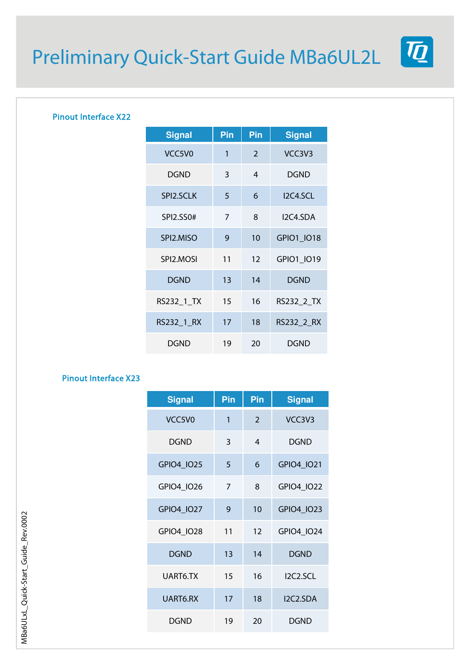$\boldsymbol{\varPi}$ 

### Pinout Interface X22

| <b>Signal</b>                   | Pin | Pin | <b>Signal</b> |
|---------------------------------|-----|-----|---------------|
| VCC <sub>5</sub> V <sub>0</sub> | 1   | 2   | VCC3V3        |
| DGND                            | 3   | 4   | <b>DGND</b>   |
| SPI2.SCLK                       | 5   | 6   | 12C4.5CL      |
| SPI2.SS0#                       | 7   | 8   | I2C4.SDA      |
| SPI2.MISO                       | 9   | 10  | GPIO1_IO18    |
| SPI2.MOSI                       | 11  | 12  | GPIO1_IO19    |
| DGND                            | 13  | 14  | <b>DGND</b>   |
| RS232_1_TX                      | 15  | 16  | RS232_2_TX    |
| RS232_1_RX                      | 17  | 18  | RS232_2_RX    |
| DGND                            | 19  | 20  | DGND          |

### Pinout Interface X23

| <b>Signal</b> | Pin | Pin            | <b>Signal</b> |
|---------------|-----|----------------|---------------|
| VCC5V0        | 1   | $\overline{2}$ | VCC3V3        |
| <b>DGND</b>   | 3   | 4              | <b>DGND</b>   |
| GPIO4 IO25    | 5   | 6              | GPIO4 IO21    |
| GPIO4_IO26    | 7   | 8              | GPIO4_IO22    |
| GPIO4_IO27    | 9   | 10             | GPIO4 IO23    |
| GPIO4_IO28    | 11  | 12             | GPIO4 IO24    |
| <b>DGND</b>   | 13  | 14             | <b>DGND</b>   |
| UART6.TX      | 15  | 16             | I2C2.SCL      |
| UART6.RX      | 17  | 18             | I2C2.SDA      |
| <b>DGND</b>   | 19  | 20             | <b>DGND</b>   |

MBa6ULxL\_Quick-Start\_Guide\_Rev.0002 MBa6ULxL\_Quick-Start\_Guide\_Rev.0002